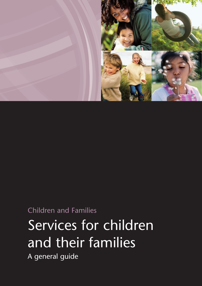

Children and Families

# Services for children and their families

A general guide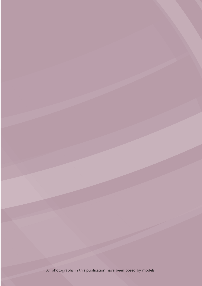All photographs in this publication have been posed by models.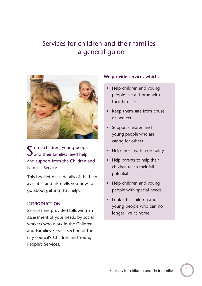# Services for children and their families a general guide



S ome children, young people<br>
S and their families need help and their families need help and support from the Children and Families Service.

This booklet gives details of the help available and also tells you how to go about getting that help.

#### **INTRODUCTION**

Services are provided following an assessment of your needs by social workers who work in the Children and Families Service section of the city council's Children and Young People's Services.

#### **We provide services which:**

- Help children and young people live at home with their families
- Keep them safe from abuse or neglect
- Support children and young people who are caring for others
- Help those with a disability
- Help parents to help their children reach their full potential
- Help children and young people with special needs
- Look after children and young people who can no longer live at home.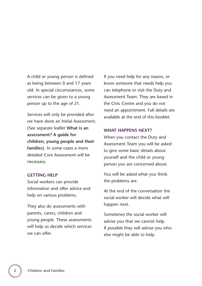A child or young person is defined as being between 0 and 17 years old. In special circumstances, some services can be given to a young person up to the age of 21.

Services will only be provided after we have done an Initial Assessment. (See separate leaflet **What is an assessment? A guide for children, young people and their families**). In some cases a more detailed Core Assessment will be necessary.

#### **GETTING HELP**

Social workers can provide information and offer advice and help on various problems.

They also do assessments with parents, carers, children and young people. These assessments will help us decide which services we can offer.

If you need help for any reason, or know someone that needs help you can telephone or visit the Duty and Assessment Team. They are based in the Civic Centre and you do not need an appointment. Full details are available at the end of this booklet.

#### **WHAT HAPPENS NEXT?**

When you contact the Duty and Assessment Team you will be asked to give some basic details about yourself and the child or young person you are concerned about.

You will be asked what you think the problems are.

At the end of the conversation the social worker will decide what will happen next.

Sometimes the social worker will advise you that we cannot help. If possible they will advise you who else might be able to help.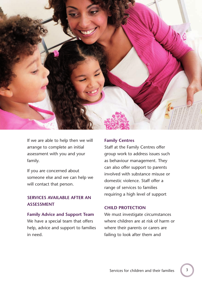

If we are able to help then we will arrange to complete an initial assessment with you and your family.

If you are concerned about someone else and we can help we will contact that person.

## **SERVICES AVAILABLE AFTER AN ASSESSMENT**

#### **Family Advice and Support Team**

We have a special team that offers help, advice and support to families in need.

#### **Family Centres**

Staff at the Family Centres offer group work to address issues such as behaviour management. They can also offer support to parents involved with substance misuse or domestic violence. Staff offer a range of services to families requiring a high level of support

#### **CHILD PROTECTION**

We must investigate circumstances where children are at risk of harm or where their parents or carers are failing to look after them and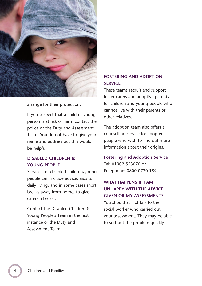

arrange for their protection.

If you suspect that a child or young person is at risk of harm contact the police or the Duty and Assessment Team. You do not have to give your name and address but this would be helpful.

### **DISABLED CHILDREN & YOUNG PEOPLE**

Services for disabled children/young people can include advice, aids to daily living, and in some cases short breaks away from home, to give carers a break..

Contact the Disabled Children & Young People's Team in the first instance or the Duty and Assessment Team.

## **FOSTERING AND ADOPTION SERVICE**

These teams recruit and support foster carers and adoptive parents for children and young people who cannot live with their parents or other relatives.

The adoption team also offers a counselling service for adopted people who wish to find out more information about their origins.

**Fostering and Adoption Service** Tel: 01902 553070 or Freephone: 0800 0730 189

# **WHAT HAPPENS IF I AM UNHAPPY WITH THE ADVICE GIVEN OR MY ASSESSMENT?**

You should at first talk to the social worker who carried out your assessment. They may be able to sort out the problem quickly.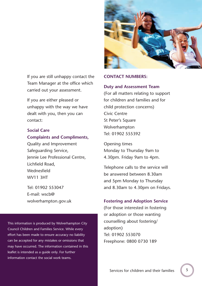

If you are still unhappy contact the Team Manager at the office which carried out your assessment.

If you are either pleased or unhappy with the way we have dealt with you, then you can contact:

**Social Care Complaints and Compliments,**

Quality and Improvement Safeguarding Service, Jennie Lee Professional Centre, Lichfield Road, **Wednesfield** WV11 3HT

Tel: 01902 553047 E-mail: wscb@ wolverhampton.gov.uk

This information is produced by Wolverhampton City Council Children and Families Service. While every effort has been made to ensure accuracy no liability can be accepted for any mistakes or omissions that may have occurred. The information contained in this leaflet is intended as a guide only. For further information contact the social work teams.

#### **CONTACT NUMBERS:**

#### **Duty and Assessment Team**

(For all matters relating to support for children and families and for child protection concerns) Civic Centre St Peter's Square Wolverhampton Tel: 01902 555392

Opening times Monday to Thursday 9am to 4.30pm. Friday 9am to 4pm.

Telephone calls to the service will be answered between 8.30am and 5pm Monday to Thursday and 8.30am to 4.30pm on Fridays.

#### **Fostering and Adoption Service**

(For those interested in fostering or adoption or those wanting counselling about fostering/ adoption) Tel: 01902 553070 Freephone: 0800 0730 189